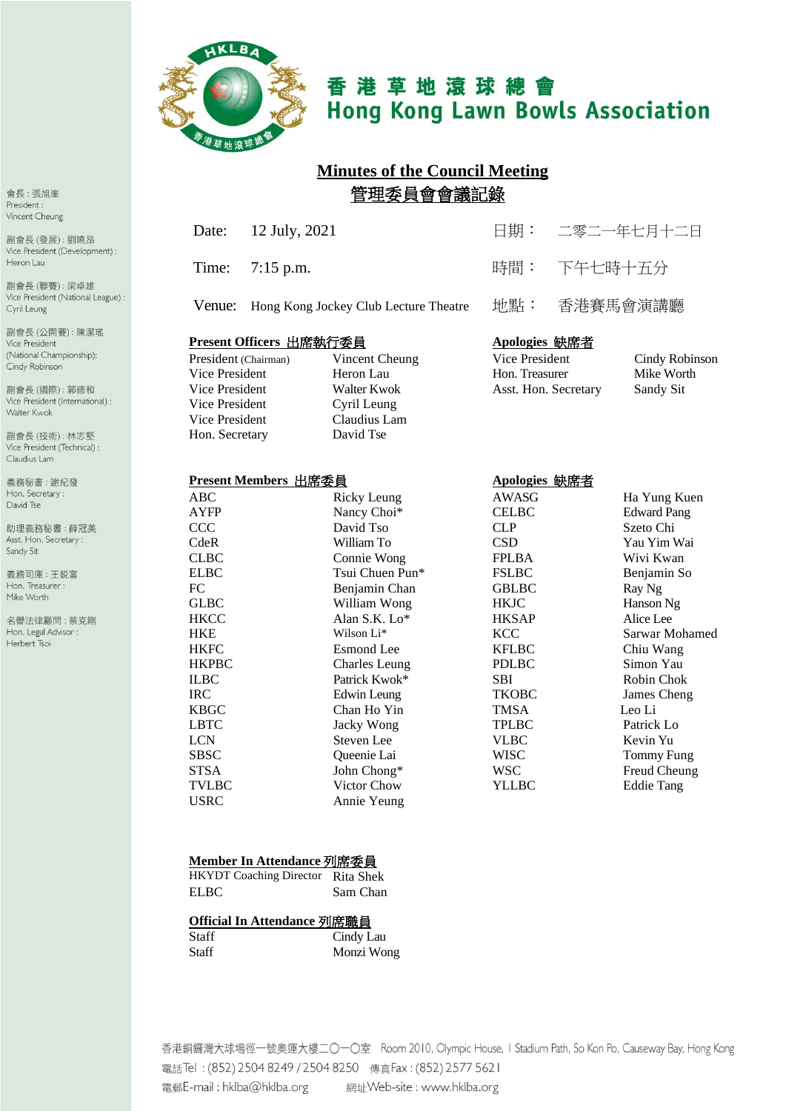

# 香港草地滾球總會 **Hong Kong Lawn Bowls Association**

# **Minutes of the Council Meeting** 管理委員會會議記錄

| Date: 12 July, 2021                          | 日期: 二零二一年七月十二日 |
|----------------------------------------------|----------------|
| Time: $7:15 \text{ p.m.}$                    | 時間: 下午七時十五分    |
| Venue: Hong Kong Jockey Club Lecture Theatre | 地點: 香港賽馬會演講廳   |

#### **Present Officers** 出席執行委員 **Apologies** 缺席者

| President (Chairman) | Vincent Cheung | Vice President       | Cindy Robi |
|----------------------|----------------|----------------------|------------|
| Vice President       | Heron Lau      | Hon. Treasurer       | Mike Worth |
| Vice President       | Walter Kwok    | Asst. Hon. Secretary | Sandy Sit  |
| Vice President       | Cyril Leung    |                      |            |
| Vice President       | Claudius Lam   |                      |            |
| Hon. Secretary       | David Tse      |                      |            |

| President (Chairman) | Vincent Cheung | Vice President       | Cindy Robinson |
|----------------------|----------------|----------------------|----------------|
| Vice President       | Heron Lau      | Hon. Treasurer       | Mike Worth     |
| Vice President       | Walter Kwok    | Asst. Hon. Secretary | Sandy Sit      |

#### **Present Members** 出席委員 **Apologies** 缺席者

| ABC          | <b>Ricky Leung</b>   | AWASG        | Ha Yung Kuen       |
|--------------|----------------------|--------------|--------------------|
| <b>AYFP</b>  | Nancy Choi*          | <b>CELBC</b> | <b>Edward Pang</b> |
| CCC          | David Tso            | <b>CLP</b>   | Szeto Chi          |
| CdeR         | William To           | <b>CSD</b>   | Yau Yim Wai        |
| <b>CLBC</b>  | Connie Wong          | <b>FPLBA</b> | Wivi Kwan          |
| <b>ELBC</b>  | Tsui Chuen Pun*      | <b>FSLBC</b> | Benjamin So        |
| FC           | Benjamin Chan        | <b>GBLBC</b> | Ray Ng             |
| <b>GLBC</b>  | William Wong         | <b>HKJC</b>  | Hanson Ng          |
| <b>HKCC</b>  | Alan S.K. Lo*        | <b>HKSAP</b> | Alice Lee          |
| <b>HKE</b>   | Wilson Li*           | <b>KCC</b>   | Sarwar Mohamed     |
| <b>HKFC</b>  | <b>Esmond</b> Lee    | <b>KFLBC</b> | Chiu Wang          |
| <b>HKPBC</b> | <b>Charles Leung</b> | <b>PDLBC</b> | Simon Yau          |
| <b>ILBC</b>  | Patrick Kwok*        | <b>SBI</b>   | Robin Chok         |
| <b>IRC</b>   | Edwin Leung          | <b>TKOBC</b> | James Cheng        |
| <b>KBGC</b>  | Chan Ho Yin          | <b>TMSA</b>  | Leo Li             |
| <b>LBTC</b>  | Jacky Wong           | <b>TPLBC</b> | Patrick Lo         |
| <b>LCN</b>   | Steven Lee           | <b>VLBC</b>  | Kevin Yu           |
| <b>SBSC</b>  | Queenie Lai          | <b>WISC</b>  | Tommy Fung         |
| <b>STSA</b>  | John Chong*          | <b>WSC</b>   | Freud Cheung       |
| <b>TVLBC</b> | Victor Chow          | YLLBC        | <b>Eddie Tang</b>  |
| <b>USRC</b>  | Annie Yeung          |              |                    |
|              |                      |              |                    |

#### **Member In Attendance** 列席委員

| <b>HKYDT</b> Coaching Director Rita Shek |          |
|------------------------------------------|----------|
| <b>ELBC</b>                              | Sam Chan |

#### **Official In Attendance** 列席職員

| Staff | Cindy Lau  |
|-------|------------|
| Staff | Monzi Wong |

香港銅鑼灣大球場徑一號奧運大樓二〇一〇室 Room 2010, Olympic House, I Stadium Path, So Kon Po, Causeway Bay, Hong Kong 電話Tel: (852) 2504 8249 / 2504 8250 傳真Fax: (852) 2577 5621 

會長:張旭峯 President: Vincent Cheung

副會長(發展):劉曉昂 Vice President (Development) : Heron Lau

副會長(聯賽):梁卓雄 Vice President (National League) : Cyril Leung

副會長(公開賽):陳潔瑤 Vice President (National Championship): Cindy Robinson

副會長(國際):郭德和 Vice President (International) : Walter Kwok

副會長(技術):林志堅 Vice President (Technical) : Claudius Lam

義務秘書:謝紀發 Hon. Secretary: David Tse

助理義務秘書:薛冠美 Asst. Hon. Secretary : Sandy Sit

義務司庫:王鋭富 Hon. Treasurer : Mike Worth

名譽法律顧問:蔡克剛 Hon. Legal Advisor : Herbert Tsoi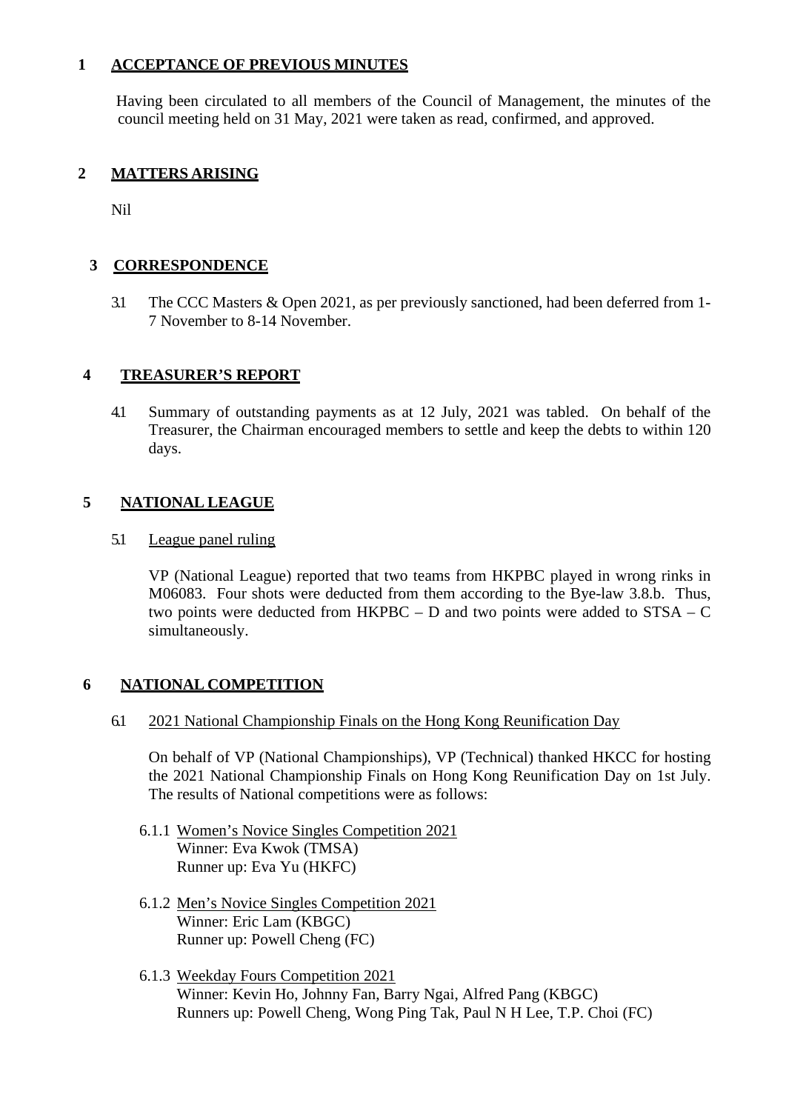#### **1 ACCEPTANCE OF PREVIOUS MINUTES**

Having been circulated to all members of the Council of Management, the minutes of the council meeting held on 31 May, 2021 were taken as read, confirmed, and approved.

#### **2 MATTERS ARISING**

Nil

#### **3 CORRESPONDENCE**

3.1 The CCC Masters & Open 2021, as per previously sanctioned, had been deferred from 1- 7 November to 8-14 November.

#### **4 TREASURER'S REPORT**

4.1 Summary of outstanding payments as at 12 July, 2021 was tabled. On behalf of the Treasurer, the Chairman encouraged members to settle and keep the debts to within 120 days.

#### **5 NATIONAL LEAGUE**

#### 5.1 League panel ruling

VP (National League) reported that two teams from HKPBC played in wrong rinks in M06083. Four shots were deducted from them according to the Bye-law 3.8.b. Thus, two points were deducted from HKPBC – D and two points were added to STSA – C simultaneously.

#### **6 NATIONAL COMPETITION**

6.1 2021 National Championship Finals on the Hong Kong Reunification Day

On behalf of VP (National Championships), VP (Technical) thanked HKCC for hosting the 2021 National Championship Finals on Hong Kong Reunification Day on 1st July. The results of National competitions were as follows:

- 6.1.1 Women's Novice Singles Competition 2021 Winner: Eva Kwok (TMSA) Runner up: Eva Yu (HKFC)
- 6.1.2 Men's Novice Singles Competition 2021 Winner: Eric Lam (KBGC) Runner up: Powell Cheng (FC)
- 6.1.3 Weekday Fours Competition 2021 Winner: Kevin Ho, Johnny Fan, Barry Ngai, Alfred Pang (KBGC) Runners up: Powell Cheng, Wong Ping Tak, Paul N H Lee, T.P. Choi (FC)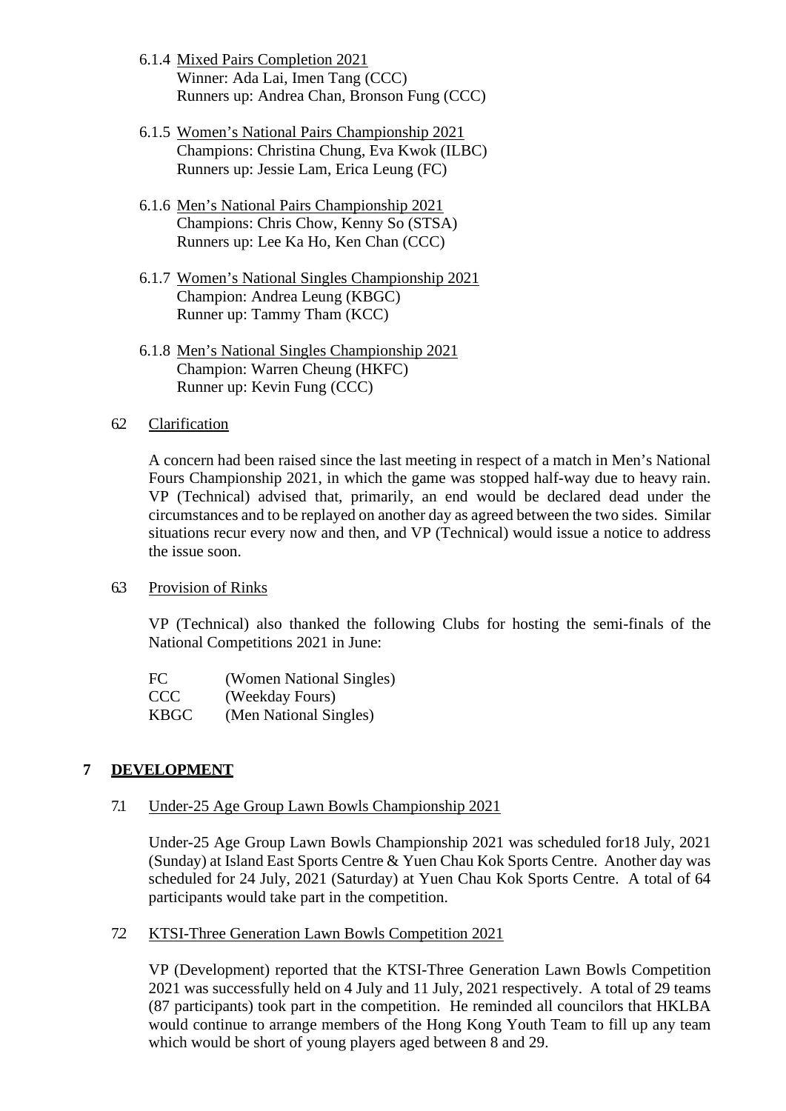- 6.1.4 Mixed Pairs Completion 2021 Winner: Ada Lai, Imen Tang (CCC) Runners up: Andrea Chan, Bronson Fung (CCC)
- 6.1.5 Women's National Pairs Championship 2021 Champions: Christina Chung, Eva Kwok (ILBC) Runners up: Jessie Lam, Erica Leung (FC)
- 6.1.6 Men's National Pairs Championship 2021 Champions: Chris Chow, Kenny So (STSA) Runners up: Lee Ka Ho, Ken Chan (CCC)
- 6.1.7 Women's National Singles Championship 2021 Champion: Andrea Leung (KBGC) Runner up: Tammy Tham (KCC)
- 6.1.8 Men's National Singles Championship 2021 Champion: Warren Cheung (HKFC) Runner up: Kevin Fung (CCC)

#### 6.2 Clarification

A concern had been raised since the last meeting in respect of a match in Men's National Fours Championship 2021, in which the game was stopped half-way due to heavy rain. VP (Technical) advised that, primarily, an end would be declared dead under the circumstances and to be replayed on another day as agreed between the two sides. Similar situations recur every now and then, and VP (Technical) would issue a notice to address the issue soon.

6.3 Provision of Rinks

VP (Technical) also thanked the following Clubs for hosting the semi-finals of the National Competitions 2021 in June:

| FC.         | (Women National Singles) |
|-------------|--------------------------|
| CCC         | (Weekday Fours)          |
| <b>KBGC</b> | (Men National Singles)   |

#### **7 DEVELOPMENT**

#### 7.1 Under-25 Age Group Lawn Bowls Championship 2021

Under-25 Age Group Lawn Bowls Championship 2021 was scheduled for18 July, 2021 (Sunday) at Island East Sports Centre & Yuen Chau Kok Sports Centre. Another day was scheduled for 24 July, 2021 (Saturday) at Yuen Chau Kok Sports Centre. A total of 64 participants would take part in the competition.

7.2 KTSI-Three Generation Lawn Bowls Competition 2021

VP (Development) reported that the KTSI-Three Generation Lawn Bowls Competition 2021 was successfully held on 4 July and 11 July, 2021 respectively. A total of 29 teams (87 participants) took part in the competition. He reminded all councilors that HKLBA would continue to arrange members of the Hong Kong Youth Team to fill up any team which would be short of young players aged between 8 and 29.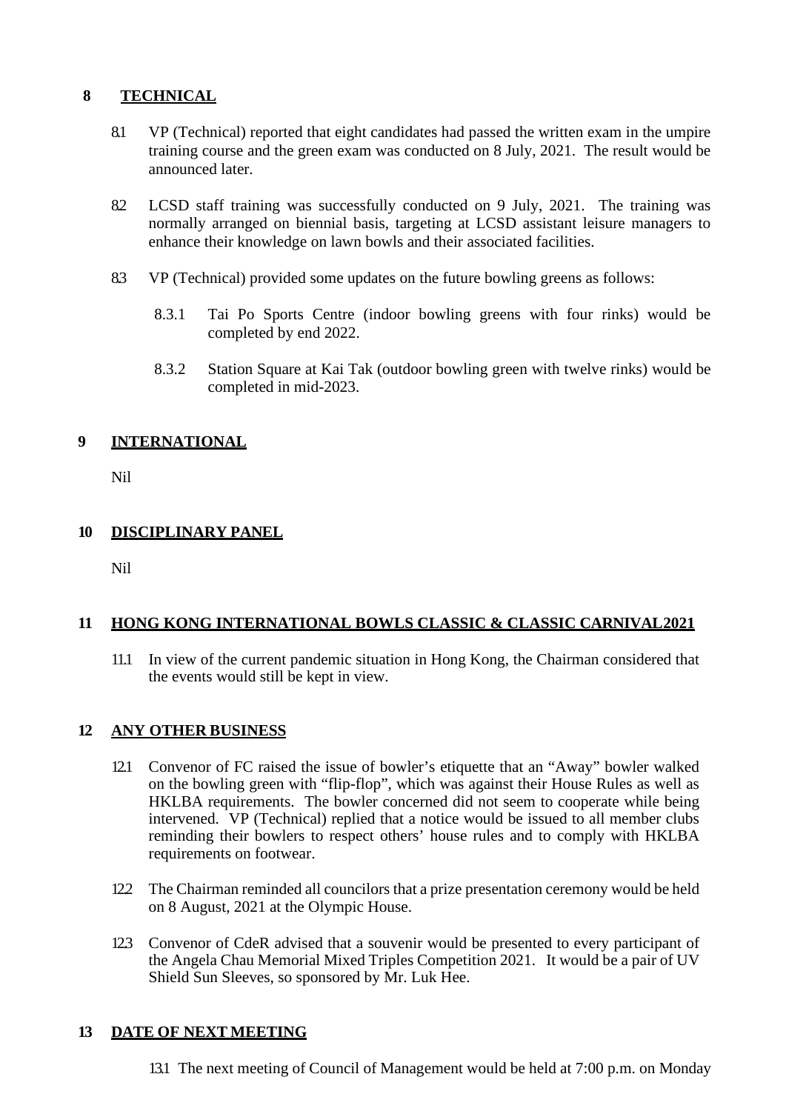# **8 TECHNICAL**

- 8.1 VP (Technical) reported that eight candidates had passed the written exam in the umpire training course and the green exam was conducted on 8 July, 2021. The result would be announced later.
- 8.2 LCSD staff training was successfully conducted on 9 July, 2021. The training was normally arranged on biennial basis, targeting at LCSD assistant leisure managers to enhance their knowledge on lawn bowls and their associated facilities.
- 8.3 VP (Technical) provided some updates on the future bowling greens as follows:
	- 8.3.1 Tai Po Sports Centre (indoor bowling greens with four rinks) would be completed by end 2022.
	- 8.3.2 Station Square at Kai Tak (outdoor bowling green with twelve rinks) would be completed in mid-2023.

# **9 INTERNATIONAL**

Nil

# **10 DISCIPLINARY PANEL**

Nil

# **11 HONG KONG INTERNATIONAL BOWLS CLASSIC & CLASSIC CARNIVAL2021**

11.1 In view of the current pandemic situation in Hong Kong, the Chairman considered that the events would still be kept in view.

# **12 ANY OTHER BUSINESS**

- 12.1 Convenor of FC raised the issue of bowler's etiquette that an "Away" bowler walked on the bowling green with "flip-flop", which was against their House Rules as well as HKLBA requirements. The bowler concerned did not seem to cooperate while being intervened. VP (Technical) replied that a notice would be issued to all member clubs reminding their bowlers to respect others' house rules and to comply with HKLBA requirements on footwear.
- 12.2 The Chairman reminded all councilors that a prize presentation ceremony would be held on 8 August, 2021 at the Olympic House.
- 12.3 Convenor of CdeR advised that a souvenir would be presented to every participant of the Angela Chau Memorial Mixed Triples Competition 2021. It would be a pair of UV Shield Sun Sleeves, so sponsored by Mr. Luk Hee.

# **13 DATE OF NEXT MEETING**

13.1 The next meeting of Council of Management would be held at 7:00 p.m. on Monday